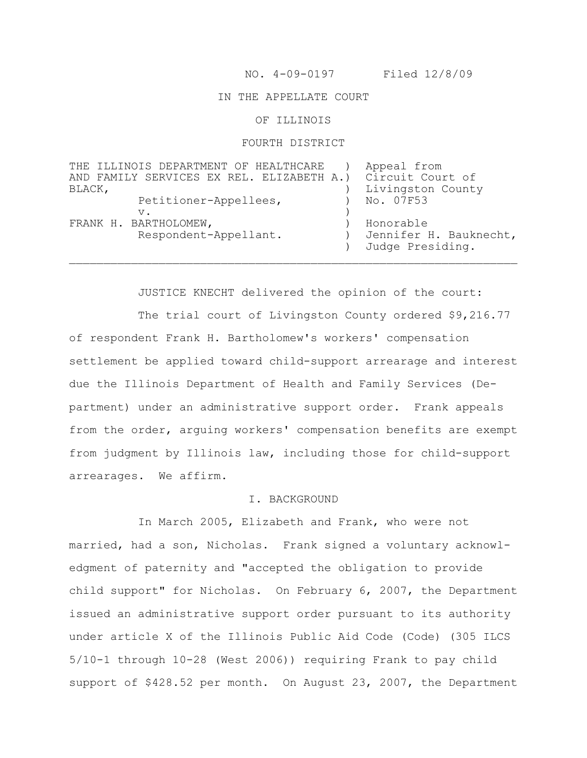NO. 4-09-0197 Filed 12/8/09

## IN THE APPELLATE COURT

OF ILLINOIS

## FOURTH DISTRICT

| THE ILLINOIS DEPARTMENT OF HEALTHCARE     | Appeal from            |
|-------------------------------------------|------------------------|
| AND FAMILY SERVICES EX REL. ELIZABETH A.) | Circuit Court of       |
| BLACK,                                    | Livingston County      |
| Petitioner-Appellees,                     | No. 07F53              |
| v.                                        |                        |
| FRANK H. BARTHOLOMEW,                     | Honorable              |
| Respondent-Appellant.                     | Jennifer H. Bauknecht, |
|                                           | Judge Presiding.       |
|                                           |                        |

JUSTICE KNECHT delivered the opinion of the court:

The trial court of Livingston County ordered \$9,216.77 of respondent Frank H. Bartholomew's workers' compensation settlement be applied toward child-support arrearage and interest due the Illinois Department of Health and Family Services (Department) under an administrative support order. Frank appeals from the order, arguing workers' compensation benefits are exempt from judgment by Illinois law, including those for child-support arrearages. We affirm.

#### I. BACKGROUND

In March 2005, Elizabeth and Frank, who were not married, had a son, Nicholas. Frank signed a voluntary acknowledgment of paternity and "accepted the obligation to provide child support" for Nicholas. On February 6, 2007, the Department issued an administrative support order pursuant to its authority under article X of the Illinois Public Aid Code (Code) (305 ILCS 5/10-1 through 10-28 (West 2006)) requiring Frank to pay child support of \$428.52 per month. On August 23, 2007, the Department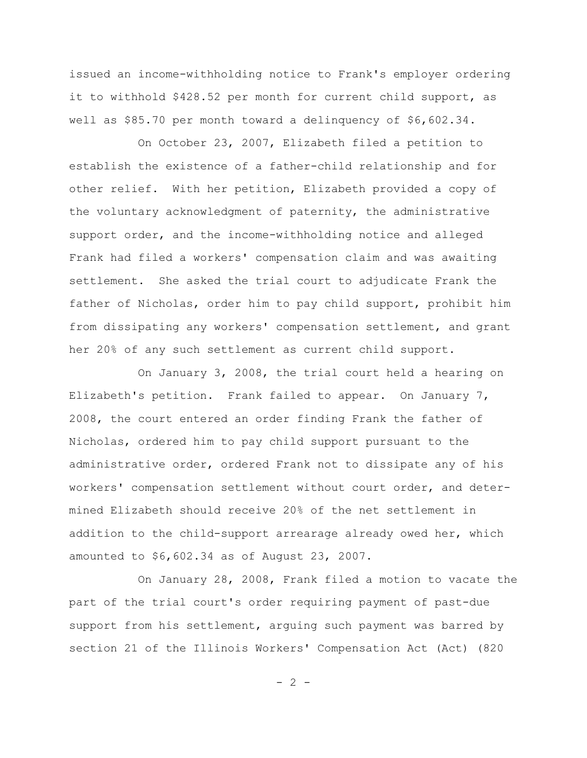issued an income-withholding notice to Frank's employer ordering it to withhold \$428.52 per month for current child support, as well as \$85.70 per month toward a delinquency of \$6,602.34.

On October 23, 2007, Elizabeth filed a petition to establish the existence of a father-child relationship and for other relief. With her petition, Elizabeth provided a copy of the voluntary acknowledgment of paternity, the administrative support order, and the income-withholding notice and alleged Frank had filed a workers' compensation claim and was awaiting settlement. She asked the trial court to adjudicate Frank the father of Nicholas, order him to pay child support, prohibit him from dissipating any workers' compensation settlement, and grant her 20% of any such settlement as current child support.

On January 3, 2008, the trial court held a hearing on Elizabeth's petition. Frank failed to appear. On January 7, 2008, the court entered an order finding Frank the father of Nicholas, ordered him to pay child support pursuant to the administrative order, ordered Frank not to dissipate any of his workers' compensation settlement without court order, and determined Elizabeth should receive 20% of the net settlement in addition to the child-support arrearage already owed her, which amounted to \$6,602.34 as of August 23, 2007.

On January 28, 2008, Frank filed a motion to vacate the part of the trial court's order requiring payment of past-due support from his settlement, arguing such payment was barred by section 21 of the Illinois Workers' Compensation Act (Act) (820

 $- 2 -$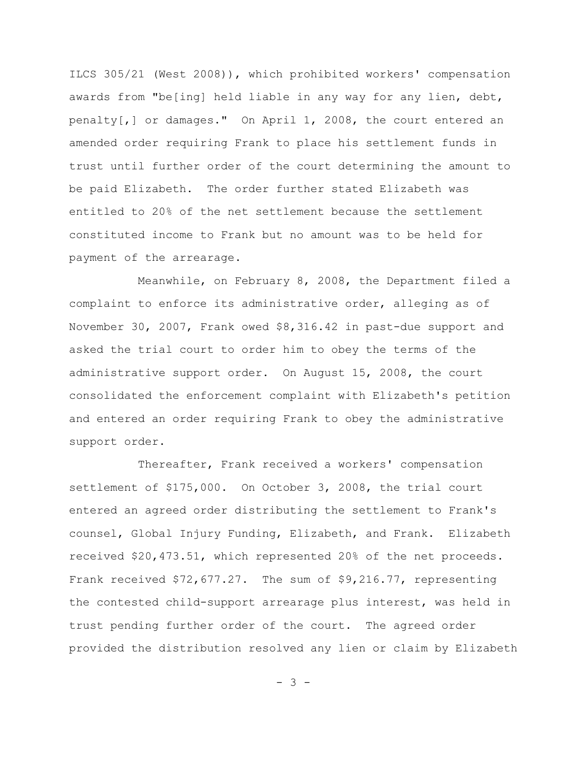ILCS 305/21 (West 2008)), which prohibited workers' compensation awards from "be[ing] held liable in any way for any lien, debt, penalty[,] or damages." On April 1, 2008, the court entered an amended order requiring Frank to place his settlement funds in trust until further order of the court determining the amount to be paid Elizabeth. The order further stated Elizabeth was entitled to 20% of the net settlement because the settlement constituted income to Frank but no amount was to be held for payment of the arrearage.

Meanwhile, on February 8, 2008, the Department filed a complaint to enforce its administrative order, alleging as of November 30, 2007, Frank owed \$8,316.42 in past-due support and asked the trial court to order him to obey the terms of the administrative support order. On August 15, 2008, the court consolidated the enforcement complaint with Elizabeth's petition and entered an order requiring Frank to obey the administrative support order.

Thereafter, Frank received a workers' compensation settlement of \$175,000. On October 3, 2008, the trial court entered an agreed order distributing the settlement to Frank's counsel, Global Injury Funding, Elizabeth, and Frank. Elizabeth received \$20,473.51, which represented 20% of the net proceeds. Frank received \$72,677.27. The sum of \$9,216.77, representing the contested child-support arrearage plus interest, was held in trust pending further order of the court. The agreed order provided the distribution resolved any lien or claim by Elizabeth

- 3 -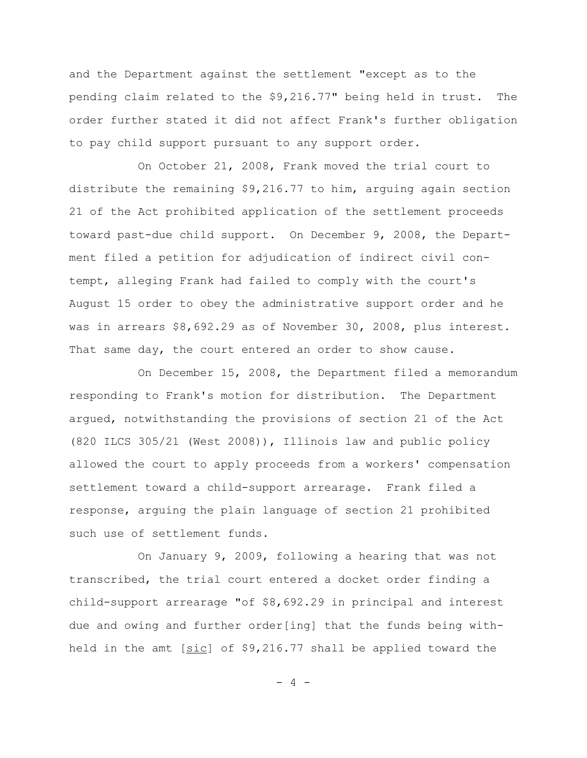and the Department against the settlement "except as to the pending claim related to the \$9,216.77" being held in trust. The order further stated it did not affect Frank's further obligation to pay child support pursuant to any support order.

On October 21, 2008, Frank moved the trial court to distribute the remaining \$9,216.77 to him, arguing again section 21 of the Act prohibited application of the settlement proceeds toward past-due child support. On December 9, 2008, the Department filed a petition for adjudication of indirect civil contempt, alleging Frank had failed to comply with the court's August 15 order to obey the administrative support order and he was in arrears \$8,692.29 as of November 30, 2008, plus interest. That same day, the court entered an order to show cause.

On December 15, 2008, the Department filed a memorandum responding to Frank's motion for distribution. The Department argued, notwithstanding the provisions of section 21 of the Act (820 ILCS 305/21 (West 2008)), Illinois law and public policy allowed the court to apply proceeds from a workers' compensation settlement toward a child-support arrearage. Frank filed a response, arguing the plain language of section 21 prohibited such use of settlement funds.

On January 9, 2009, following a hearing that was not transcribed, the trial court entered a docket order finding a child-support arrearage "of \$8,692.29 in principal and interest due and owing and further order[ing] that the funds being withheld in the amt  $[sic]$  of \$9,216.77 shall be applied toward the

 $- 4 -$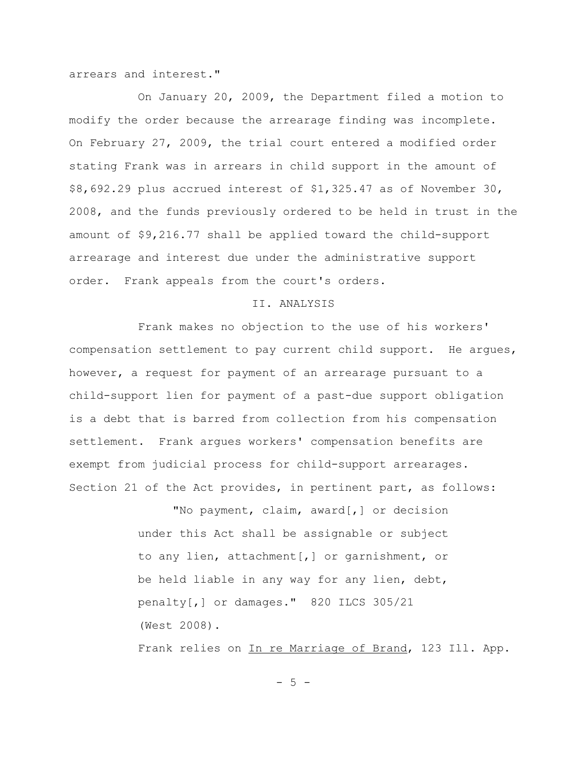arrears and interest."

On January 20, 2009, the Department filed a motion to modify the order because the arrearage finding was incomplete. On February 27, 2009, the trial court entered a modified order stating Frank was in arrears in child support in the amount of \$8,692.29 plus accrued interest of \$1,325.47 as of November 30, 2008, and the funds previously ordered to be held in trust in the amount of \$9,216.77 shall be applied toward the child-support arrearage and interest due under the administrative support order. Frank appeals from the court's orders.

### II. ANALYSIS

Frank makes no objection to the use of his workers' compensation settlement to pay current child support. He argues, however, a request for payment of an arrearage pursuant to a child-support lien for payment of a past-due support obligation is a debt that is barred from collection from his compensation settlement. Frank argues workers' compensation benefits are exempt from judicial process for child-support arrearages. Section 21 of the Act provides, in pertinent part, as follows:

> "No payment, claim, award[,] or decision under this Act shall be assignable or subject to any lien, attachment[,] or garnishment, or be held liable in any way for any lien, debt, penalty[,] or damages." 820 ILCS 305/21 (West 2008).

Frank relies on In re Marriage of Brand, 123 Ill. App.

 $-5 -$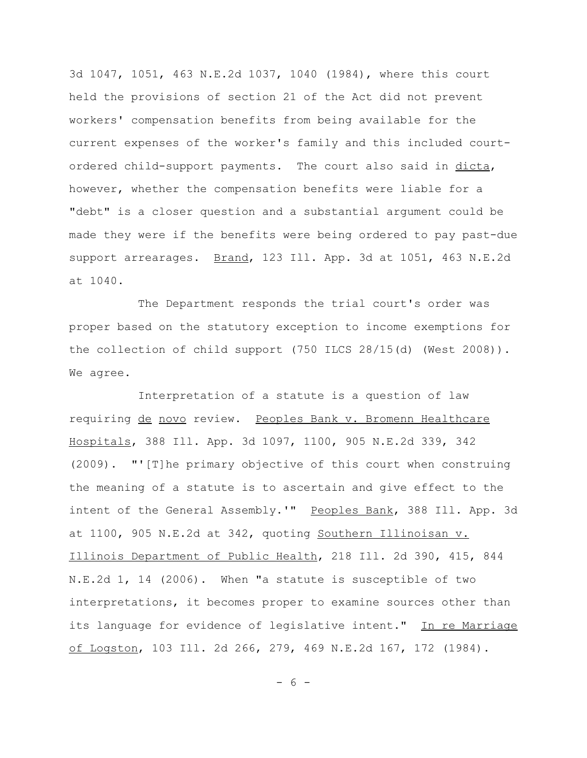3d 1047, 1051, 463 N.E.2d 1037, 1040 (1984), where this court held the provisions of section 21 of the Act did not prevent workers' compensation benefits from being available for the current expenses of the worker's family and this included courtordered child-support payments. The court also said in dicta, however, whether the compensation benefits were liable for a "debt" is a closer question and a substantial argument could be made they were if the benefits were being ordered to pay past-due support arrearages. Brand, 123 Ill. App. 3d at 1051, 463 N.E.2d at 1040.

The Department responds the trial court's order was proper based on the statutory exception to income exemptions for the collection of child support (750 ILCS 28/15(d) (West 2008)). We agree.

Interpretation of a statute is a question of law requiring de novo review. Peoples Bank v. Bromenn Healthcare Hospitals, 388 Ill. App. 3d 1097, 1100, 905 N.E.2d 339, 342 (2009). "'[T]he primary objective of this court when construing the meaning of a statute is to ascertain and give effect to the intent of the General Assembly.'" Peoples Bank, 388 Ill. App. 3d at 1100, 905 N.E.2d at 342, quoting Southern Illinoisan v. Illinois Department of Public Health, 218 Ill. 2d 390, 415, 844 N.E.2d 1, 14 (2006). When "a statute is susceptible of two interpretations, it becomes proper to examine sources other than its language for evidence of legislative intent." In re Marriage of Logston, 103 Ill. 2d 266, 279, 469 N.E.2d 167, 172 (1984).

- 6 -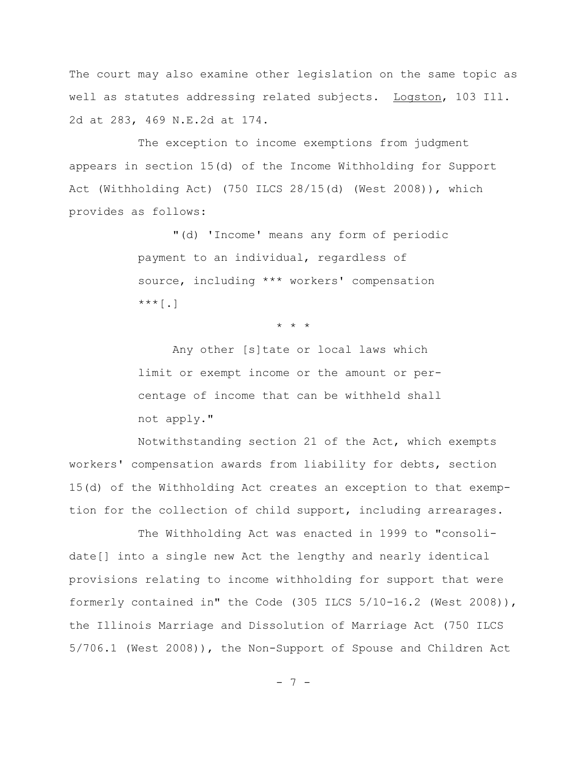The court may also examine other legislation on the same topic as well as statutes addressing related subjects. Logston, 103 Ill. 2d at 283, 469 N.E.2d at 174.

The exception to income exemptions from judgment appears in section 15(d) of the Income Withholding for Support Act (Withholding Act) (750 ILCS 28/15(d) (West 2008)), which provides as follows:

> "(d) 'Income' means any form of periodic payment to an individual, regardless of source, including \*\*\* workers' compensation  $***$ [.]

> > \* \* \*

Any other [s]tate or local laws which limit or exempt income or the amount or percentage of income that can be withheld shall not apply."

Notwithstanding section 21 of the Act, which exempts workers' compensation awards from liability for debts, section 15(d) of the Withholding Act creates an exception to that exemption for the collection of child support, including arrearages.

The Withholding Act was enacted in 1999 to "consolidate[] into a single new Act the lengthy and nearly identical provisions relating to income withholding for support that were formerly contained in" the Code (305 ILCS 5/10-16.2 (West 2008)), the Illinois Marriage and Dissolution of Marriage Act (750 ILCS 5/706.1 (West 2008)), the Non-Support of Spouse and Children Act

- 7 -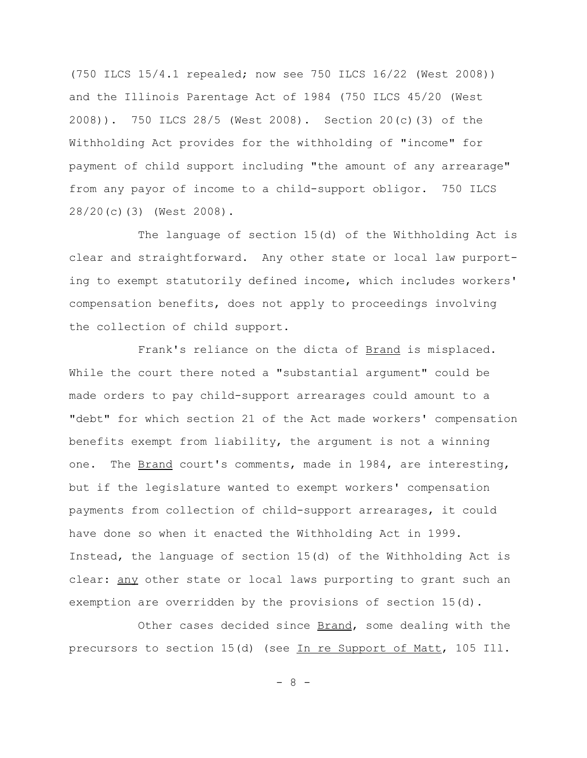(750 ILCS 15/4.1 repealed; now see 750 ILCS 16/22 (West 2008)) and the Illinois Parentage Act of 1984 (750 ILCS 45/20 (West 2008)). 750 ILCS 28/5 (West 2008). Section 20(c)(3) of the Withholding Act provides for the withholding of "income" for payment of child support including "the amount of any arrearage" from any payor of income to a child-support obligor. 750 ILCS 28/20(c)(3) (West 2008).

The language of section 15(d) of the Withholding Act is clear and straightforward. Any other state or local law purporting to exempt statutorily defined income, which includes workers' compensation benefits, does not apply to proceedings involving the collection of child support.

Frank's reliance on the dicta of **Brand** is misplaced. While the court there noted a "substantial argument" could be made orders to pay child-support arrearages could amount to a "debt" for which section 21 of the Act made workers' compensation benefits exempt from liability, the argument is not a winning one. The Brand court's comments, made in 1984, are interesting, but if the legislature wanted to exempt workers' compensation payments from collection of child-support arrearages, it could have done so when it enacted the Withholding Act in 1999. Instead, the language of section 15(d) of the Withholding Act is clear: any other state or local laws purporting to grant such an exemption are overridden by the provisions of section 15(d).

Other cases decided since Brand, some dealing with the precursors to section 15(d) (see In re Support of Matt, 105 Ill.

- 8 -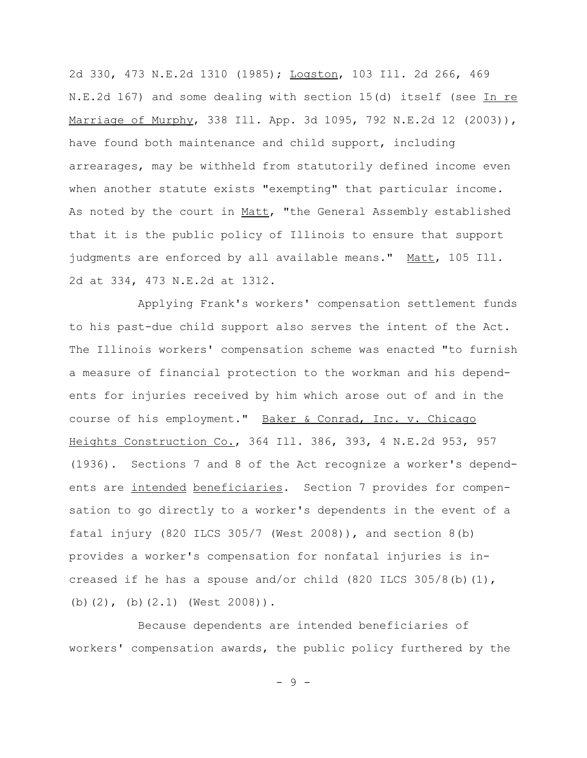2d 330, 473 N.E.2d 1310 (1985); Logston, 103 Ill. 2d 266, 469 N.E.2d 167) and some dealing with section 15(d) itself (see In re Marriage of Murphy, 338 Ill. App. 3d 1095, 792 N.E.2d 12 (2003)), have found both maintenance and child support, including arrearages, may be withheld from statutorily defined income even when another statute exists "exempting" that particular income. As noted by the court in Matt, "the General Assembly established that it is the public policy of Illinois to ensure that support judgments are enforced by all available means." Matt, 105 Ill. 2d at 334, 473 N.E.2d at 1312.

Applying Frank's workers' compensation settlement funds to his past-due child support also serves the intent of the Act. The Illinois workers' compensation scheme was enacted "to furnish a measure of financial protection to the workman and his dependents for injuries received by him which arose out of and in the course of his employment." Baker & Conrad, Inc. v. Chicago Heights Construction Co., 364 Ill. 386, 393, 4 N.E.2d 953, 957 (1936). Sections 7 and 8 of the Act recognize a worker's dependents are intended beneficiaries. Section 7 provides for compensation to go directly to a worker's dependents in the event of a fatal injury (820 ILCS 305/7 (West 2008)), and section 8(b) provides a worker's compensation for nonfatal injuries is increased if he has a spouse and/or child  $(820$  ILCS  $305/8$ (b) $(1)$ , (b)(2), (b)(2.1) (West 2008)).

Because dependents are intended beneficiaries of workers' compensation awards, the public policy furthered by the

- 9 -